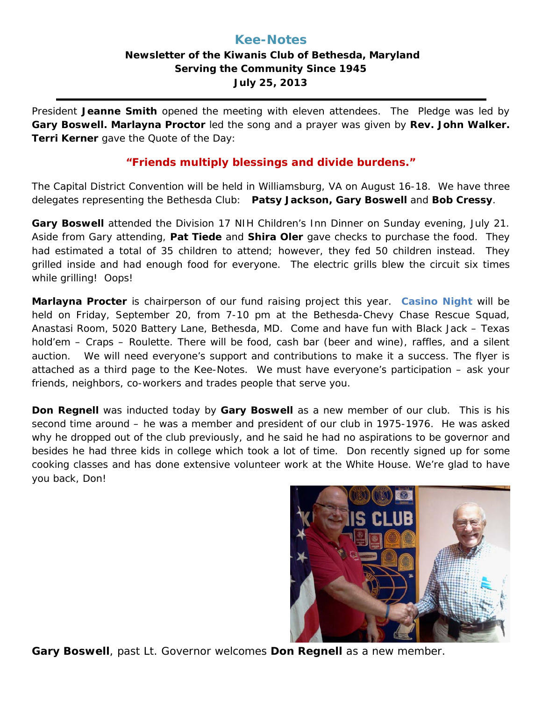## **Kee-Notes Newsletter of the Kiwanis Club of Bethesda, Maryland Serving the Community Since 1945 July 25, 2013**

President **Jeanne Smith** opened the meeting with eleven attendees. The Pledge was led by **Gary Boswell. Marlayna Proctor** led the song and a prayer was given by **Rev. John Walker. Terri Kerner** gave the Quote of the Day:

### *"Friends multiply blessings and divide burdens."*

The Capital District Convention will be held in Williamsburg, VA on August 16-18. We have three delegates representing the Bethesda Club: **Patsy Jackson, Gary Boswell** and **Bob Cressy**.

**Gary Boswell** attended the Division 17 NIH Children's Inn Dinner on Sunday evening, July 21. Aside from Gary attending, **Pat Tiede** and **Shira Oler** gave checks to purchase the food. They had estimated a total of 35 children to attend; however, they fed 50 children instead. They grilled inside and had enough food for everyone. The electric grills blew the circuit six times while grilling! Oops!

**Marlayna Procter** is chairperson of our fund raising project this year. **Casino Night** will be held on Friday, September 20, from 7-10 pm at the Bethesda-Chevy Chase Rescue Squad, Anastasi Room, 5020 Battery Lane, Bethesda, MD. Come and have fun with Black Jack – Texas hold'em – Craps – Roulette. There will be food, cash bar (beer and wine), raffles, and a silent auction. We will need everyone's support and contributions to make it a success. The flyer is attached as a third page to the Kee-Notes. We must have everyone's participation – ask your friends, neighbors, co-workers and trades people that serve you.

**Don Regnell** was inducted today by **Gary Boswell** as a new member of our club. This is his second time around – he was a member and president of our club in 1975-1976. He was asked why he dropped out of the club previously, and he said he had no aspirations to be governor and besides he had three kids in college which took a lot of time. Don recently signed up for some cooking classes and has done extensive volunteer work at the White House. We're glad to have you back, Don!



**Gary Boswell**, past Lt. Governor welcomes **Don Regnell** as a new member.